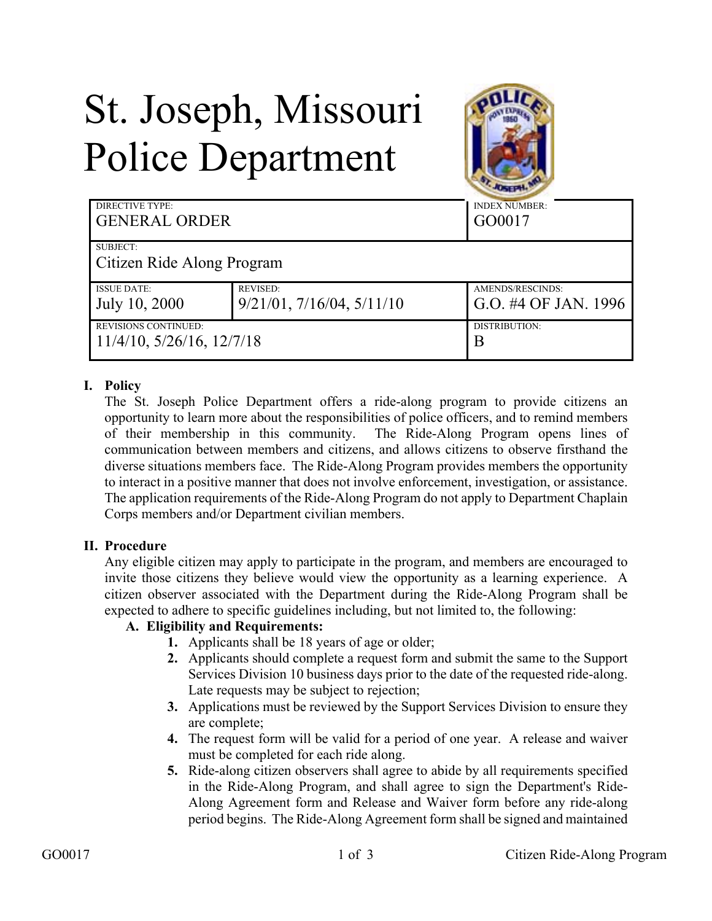## St. Joseph, Missouri Police Department



| <b>DIRECTIVE TYPE:</b><br><b>GENERAL ORDER</b> |                                   | <b>INDEX NUMBER:</b><br>GO0017 |
|------------------------------------------------|-----------------------------------|--------------------------------|
| SUBJECT:                                       |                                   |                                |
| Citizen Ride Along Program                     |                                   |                                |
| <b>ISSUE DATE:</b>                             | <b>REVISED:</b>                   | AMENDS/RESCINDS:               |
| July 10, 2000                                  | $9/21/01$ , $7/16/04$ , $5/11/10$ | G.O. #4 OF JAN. 1996           |
| <b>REVISIONS CONTINUED:</b>                    |                                   | DISTRIBUTION:                  |
| $11/4/10$ , $5/26/16$ , $12/7/18$              |                                   | Β                              |

## **I. Policy**

The St. Joseph Police Department offers a ride-along program to provide citizens an opportunity to learn more about the responsibilities of police officers, and to remind members of their membership in this community. The Ride-Along Program opens lines of communication between members and citizens, and allows citizens to observe firsthand the diverse situations members face. The Ride-Along Program provides members the opportunity to interact in a positive manner that does not involve enforcement, investigation, or assistance. The application requirements of the Ride-Along Program do not apply to Department Chaplain Corps members and/or Department civilian members.

## **II. Procedure**

Any eligible citizen may apply to participate in the program, and members are encouraged to invite those citizens they believe would view the opportunity as a learning experience. A citizen observer associated with the Department during the Ride-Along Program shall be expected to adhere to specific guidelines including, but not limited to, the following:

## **A. Eligibility and Requirements:**

- **1.** Applicants shall be 18 years of age or older;
- **2.** Applicants should complete a request form and submit the same to the Support Services Division 10 business days prior to the date of the requested ride-along. Late requests may be subject to rejection;
- **3.** Applications must be reviewed by the Support Services Division to ensure they are complete;
- **4.** The request form will be valid for a period of one year. A release and waiver must be completed for each ride along.
- **5.** Ride-along citizen observers shall agree to abide by all requirements specified in the Ride-Along Program, and shall agree to sign the Department's Ride-Along Agreement form and Release and Waiver form before any ride-along period begins. The Ride-Along Agreement form shall be signed and maintained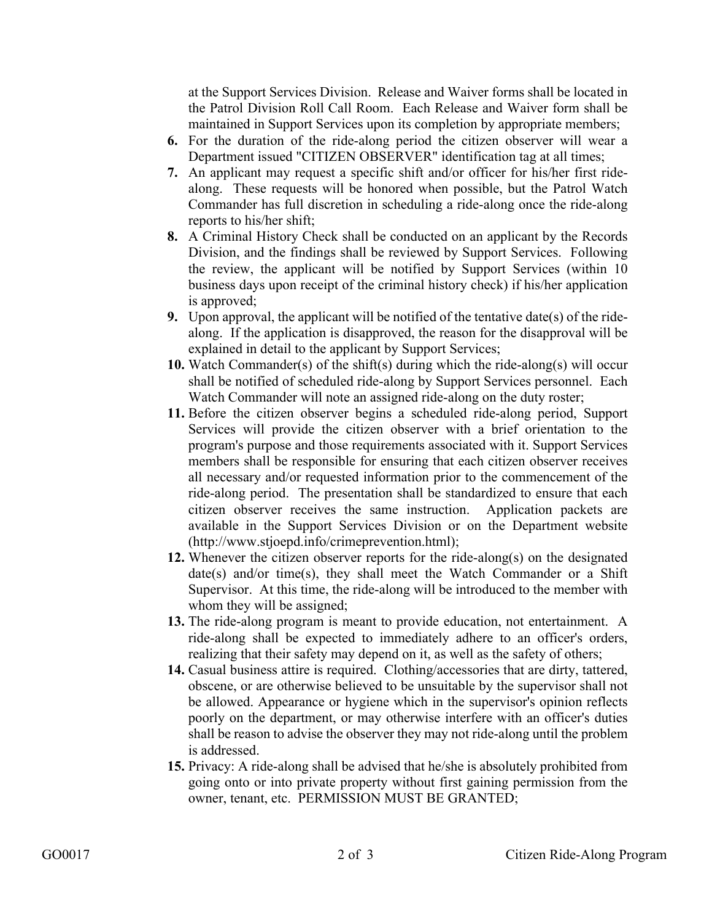at the Support Services Division. Release and Waiver forms shall be located in the Patrol Division Roll Call Room. Each Release and Waiver form shall be maintained in Support Services upon its completion by appropriate members;

- **6.** For the duration of the ride-along period the citizen observer will wear a Department issued "CITIZEN OBSERVER" identification tag at all times;
- **7.** An applicant may request a specific shift and/or officer for his/her first ridealong. These requests will be honored when possible, but the Patrol Watch Commander has full discretion in scheduling a ride-along once the ride-along reports to his/her shift;
- **8.** A Criminal History Check shall be conducted on an applicant by the Records Division, and the findings shall be reviewed by Support Services. Following the review, the applicant will be notified by Support Services (within 10 business days upon receipt of the criminal history check) if his/her application is approved;
- **9.** Upon approval, the applicant will be notified of the tentative date(s) of the ridealong. If the application is disapproved, the reason for the disapproval will be explained in detail to the applicant by Support Services;
- **10.** Watch Commander(s) of the shift(s) during which the ride-along(s) will occur shall be notified of scheduled ride-along by Support Services personnel. Each Watch Commander will note an assigned ride-along on the duty roster;
- **11.** Before the citizen observer begins a scheduled ride-along period, Support Services will provide the citizen observer with a brief orientation to the program's purpose and those requirements associated with it. Support Services members shall be responsible for ensuring that each citizen observer receives all necessary and/or requested information prior to the commencement of the ride-along period. The presentation shall be standardized to ensure that each citizen observer receives the same instruction. Application packets are available in the Support Services Division or on the Department website (http://www.stjoepd.info/crimeprevention.html);
- **12.** Whenever the citizen observer reports for the ride-along(s) on the designated  $date(s)$  and/or time(s), they shall meet the Watch Commander or a Shift Supervisor. At this time, the ride-along will be introduced to the member with whom they will be assigned;
- **13.** The ride-along program is meant to provide education, not entertainment. A ride-along shall be expected to immediately adhere to an officer's orders, realizing that their safety may depend on it, as well as the safety of others;
- **14.** Casual business attire is required. Clothing/accessories that are dirty, tattered, obscene, or are otherwise believed to be unsuitable by the supervisor shall not be allowed. Appearance or hygiene which in the supervisor's opinion reflects poorly on the department, or may otherwise interfere with an officer's duties shall be reason to advise the observer they may not ride-along until the problem is addressed.
- **15.** Privacy: A ride-along shall be advised that he/she is absolutely prohibited from going onto or into private property without first gaining permission from the owner, tenant, etc. PERMISSION MUST BE GRANTED;